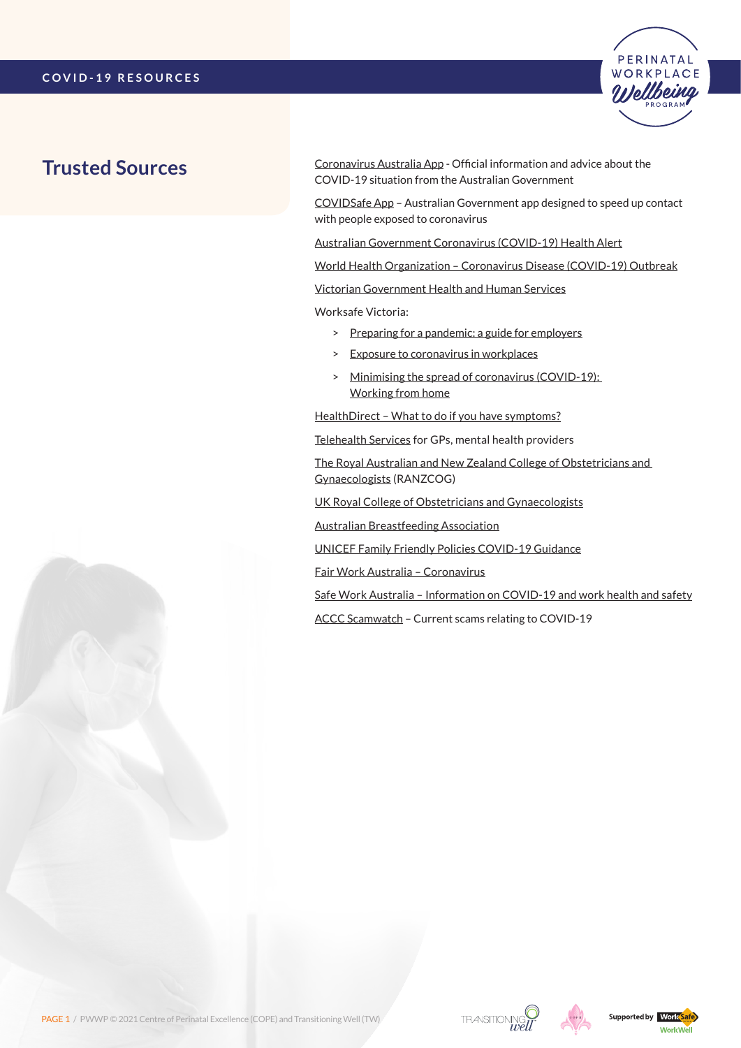

# **Trusted Sources**

[Coronavirus Australia App](https://www.health.gov.au/resources/apps-and-tools/coronavirus-australia-app) - Official information and advice about the COVID-19 situation from the Australian Government

[COVIDSafe App](https://www.health.gov.au/resources/apps-and-tools/covidsafe-app) – Australian Government app designed to speed up contact with people exposed to coronavirus

[Australian Government Coronavirus \(COVID-19\) Health Alert](https://www.health.gov.au/news/health-alerts/novel-coronavirus-2019-ncov-health-alert)

[World Health Organization – Coronavirus Disease \(COVID-19\) Outbreak](https://www.who.int/emergencies/diseases/novel-coronavirus-2019/events-as-they-happen)

[Victorian Government Health and Human Services](https://www.dhhs.vic.gov.au/coronavirus)

Worksafe Victoria:

- > [Preparing for a pandemic: a guide for employers](https://content.api.worksafe.vic.gov.au/sites/default/files/2020-02/ISBN-Preparing-pandemic-guide-employers-2020-02.pdf)
- > [Exposure to coronavirus in workplaces](https://www.worksafe.vic.gov.au/safety-alerts/exposure-coronavirus-workplaces)
- > [Minimising the spread of coronavirus \(COVID-19\):](https://www.worksafe.vic.gov.au/minimising-spread-coronavirus-covid-19-working-home)  [Working from home](https://www.worksafe.vic.gov.au/minimising-spread-coronavirus-covid-19-working-home)

[HealthDirect – What to do if you have symptoms?](https://www.healthdirect.gov.au/coronavirus)

[Telehealth Services](https://www.health.gov.au/resources/publications/covid-19-national-health-plan-primary-care-bulk-billed-mbs-telehealth-services) for GPs, mental health providers

[The Royal Australian and New Zealand College of Obstetricians and](https://ranzcog.edu.au/news)  [Gynaecologists](https://ranzcog.edu.au/news) (RANZCOG)

[UK Royal College of Obstetricians and Gynaecologists](http://www.rcog.org.uk/coronavirus-pregnancy)

[Australian Breastfeeding Association](https://www.breastfeeding.asn.au/bfinfo/covid-19)

[UNICEF Family Friendly Policies COVID-19 Guidance](https://www.unicef.org/media/66351/file/Family-friendly-policies-covid-19-guidance-2020.pdf)

[Fair Work Australia – Coronavirus](https://coronavirus.fairwork.gov.au/)

[Safe Work Australia – Information on COVID-19 and work health and safety](https://www.safeworkaustralia.gov.au/covid-19-information-workplaces)

[ACCC Scamwatch](https://www.scamwatch.gov.au/types-of-scams/current-covid-19-coronavirus-scams) – Current scams relating to COVID-19





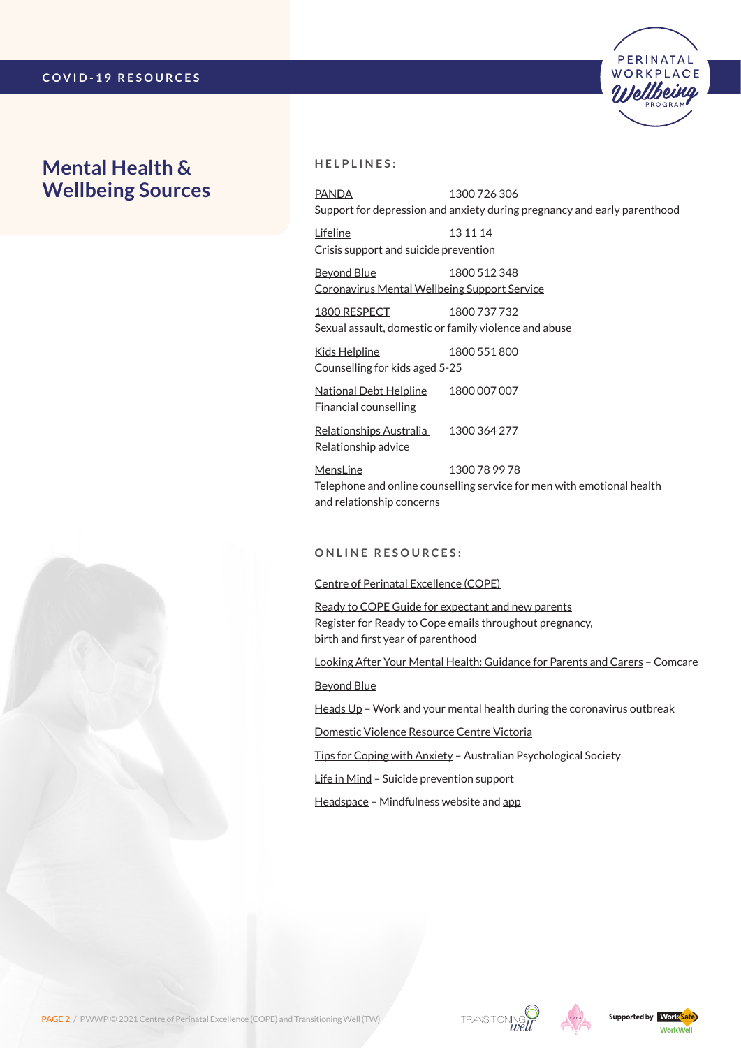## **Mental Health & Wellbeing Sources**



[PANDA](http://www.panda.org.au/) 1300 726 306 Support for depression and anxiety during pregnancy and early parenthood

PERINATAL **WORKPLACE** 

[Lifeline](https://www.lifeline.org.au/) 13 11 14 Crisis support and suicide prevention

[Beyond Blue](https://coronavirus.beyondblue.org.au/) 1800 512 348 Coronavirus [Mental Wellbeing Support Service](https://coronavirus.beyondblue.org.au/)

[1800 RESPECT](https://www.1800respect.org.au/) 1800 737 732 Sexual assault, domestic or family violence and abuse

[Kids Helpline](https://kidshelpline.com.au/) 1800 551 800 Counselling for kids aged 5-25

[National Debt Helpline](https://ndh.org.au/) 1800 007 007 Financial counselling

[Relationships Australia](https://www.relationships.org.au/) 1300 364 277 Relationship advice

[MensLine](https://mensline.org.au/) 1300 78 99 78 Telephone and online counselling service for men with emotional health and relationship concerns

### **O n l i n e R esources :**

#### [Centre of Perinatal Excellence \(COPE\)](https://www.cope.org.au/getting-help/self-help/covid-19-updates-for-pregnant-women-children-and-parents/)

[Ready to COPE Guide for expectant and new parents](https://www.cope.org.au/readytocope/) Register for Ready to Cope emails throughout pregnancy, birth and first year of parenthood

[Looking After Your Mental Health: Guidance for Parents and Carers](https://www.comcare.gov.au/about/forms-publications/documents/publications/safety/coronavirus-parents-and-carers-factsheet.pdf) – Comcare

[Beyond Blue](https://www.beyondblue.org.au/the-facts/looking-after-your-mental-health-during-the-coronavirus-outbreak)

[Heads Up](https://www.headsup.org.au/your-mental-health/work-and-your-mental-health-during-the-coronavirus-outbreak) – Work and your mental health during the coronavirus outbreak

[Domestic Violence Resource Centre Victoria](http://www.dvrcv.org.au/help-advice/coronavirus-covid-19-and-family-violence)

[Tips for Coping with Anxiety](https://www.psychology.org.au/COVID-19-Australians) – Australian Psychological Society

[Life in Mind](https://www.lifeinmindaustralia.com.au/support-for-those-impacted-by-adverse-events/mental-health-support-for-covid-19) – Suicide prevention support

[Headspace](https://www.headspace.com/covid-19) – Mindfulness website and [app](https://apps.apple.com/us/app/headspace-meditation-sleep/id493145008)